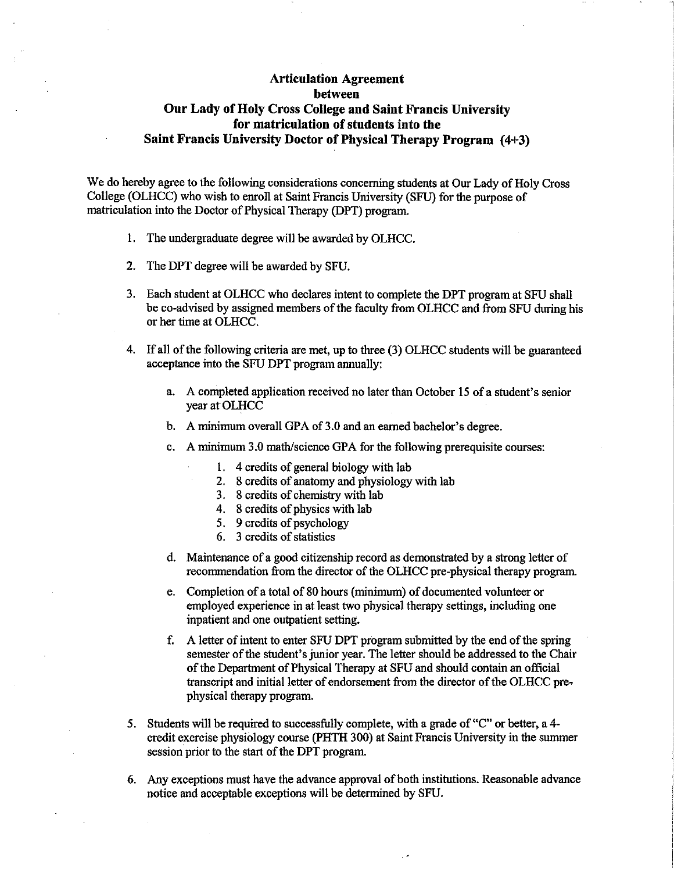## Articulation Agreement between Our Lady of Holy Cross College and Saint Francis University for matriculation of students into the Saint Francis University Doctor of Physical Therapy Program (4+3)

We do hereby agree to the following considerations concerning students at Our Lady of Holy Cross College (OLHCC) who wish to enroll at Saint Francis University (SFU) for the purpose of matriculation into the Doctor of Physical Therapy (DPT) program.

- 1. The undergraduate degree will be awarded by OLHCC.
- 2. The DPT degree will be awarded by SFU.
- 3. Each student at OLHCC who declares intent to complete the DPT program at SFU shall be co-advised by assigned members of the faculty from OLHCC and from SFU during his or her time at OLHCC.
- 4. If all of the following criteria are met, up to three (3) OLHCC students will be guaranteed acceptance into the SFU DPT program annually:
	- a. A completed application received no later than October 15 of a student's senior year at OLHCC
	- b. A minimum overall GPA of 3.0 and an earned bachelor's degree.
	- c. A minimum 3.0 math/science GPA for the following prerequisite courses:
		- 1. 4 credits of general biology with lab
		- 2. 8 credits of anatomy and physiology with lab
		- 3. 8 credits of chemistry with lab
		- 4. 8 credits of physics with lab
		- 5. 9 credits of psychology
		- 6. 3 credits of statistics
	- d. Maintenance of a good citizenship record as demonstrated by a strong letter of recommendation from the director of the OLHCC pre-physical therapy program.
	- e. Completion of a total of 80 hours (minimum) of documented volunteer or employed experience in at least two physical therapy settings, including one inpatient and one outpatient setting.
	- f . A letter of intent to enter SFU DPT program submitted by the end of the spring semester of the student's junior year. The letter should be addressed to the Chair of the Department of Physical Therapy at SFU and should contain an official transcript and initial letter of endorsement from the director of the OLHCC prephysical therapy program.
- 5. Students will be required to successfully complete, with a grade of "C" or better, a 4 credit exercise physiology course (PHTH 300) at Saint Francis University in the summer session prior to the start of the DPT program.
- 6. Any exceptions must have the advance approval of both institutions. Reasonable advance notice and acceptable exceptions will be determined by SFU.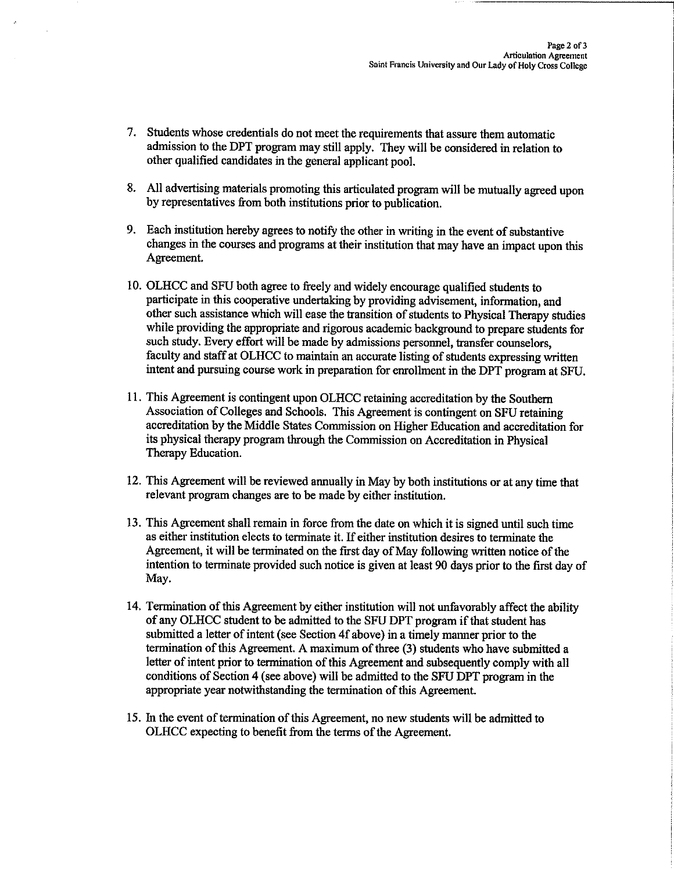- 7. Students whose credentials do not meet the requirements that assure them automatic admission to the DPT program may still apply. They will be considered in relation to other qualified candidates in the general applicant pool.
- 8. All advertising materials promoting this articulated program will be mutually agreed upon by representatives from both institutions prior to publication.
- 9. Each institution hereby agrees to notify the other in writing in the event of substantive changes in the courses and programs at their institution that may have an impact upon this Agreement.
- 10. OLHCC and SFU both agree to freely and widely encourage qualified students to participate in this cooperative undertaking by providing advisement, information, and other such assistance which will ease the transition of students to Physical Therapy studies while providing the appropriate and rigorous academic background to prepare students for such study. Every effort will be made by admissions personnel, transfer counselors, faculty and staff at OLHCC to maintain an accurate listing of students expressing written intent and pursuing course work in preparation for enrollment in the DPT program at SFU.
- 11. This Agreement is contingent upon OLHCC retaining accreditation by the Southern Association of Colleges and Schools. This Agreement is contingent on SFU retaining accreditation by the Middle States Commission on Higher Education and accreditation for its physical therapy program through the Commission on Accreditation in Physical Therapy Education.
- 12. This Agreement will be reviewed annually in May by both institutions or at any time that relevant program changes are to be made by either institution.
- 13. This Agreement shall remain in force from the date on which it is signed until such time as either institution elects to terminate it. If either institution desires to terminate the Agreement, it will be terminated on the first day of May following written notice of the intention to terminate provided such notice is given at least 90 days prior to the first day of May.
- 14. Termination of this Agreement by either institution will not unfavorably affect the ability of any OLHCC student to be admitted to the SFU DPT program if that student has submitted a letter of intent (see Section 4f above) in a timely manner prior to the termination of this Agreement. A maximum of three (3) students who have submitted a letter of intent prior to termination of this Agreement and subsequently comply with all conditions of Section 4 (see above) will be admitted to the SFU DPT program in the appropriate year notwithstanding the termination of this Agreement.
- 15. In the event of termination of this Agreement, no new students will be admitted to OLHCC expecting to benefit from the terms of the Agreement.